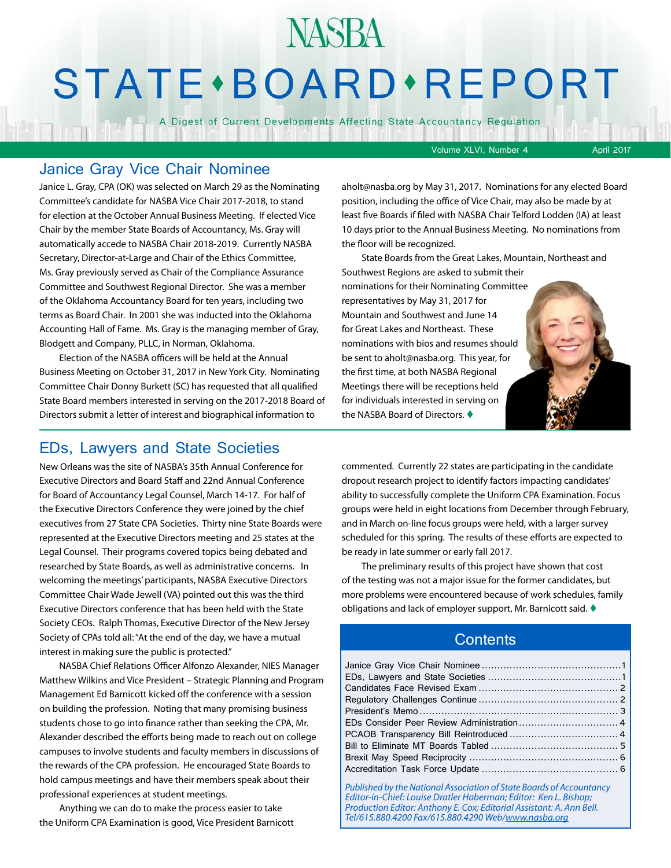## **STATE** · BOARD · REPORT

**NASBA** 

A Digest of Current Developments Affecting State Accountancy Regulation

Volume XLVI, Number 4 April 2017

#### Janice Gray Vice Chair Nominee

Janice L. Gray, CPA (OK) was selected on March 29 as the Nominating Committee's candidate for NASBA Vice Chair 2017-2018, to stand for election at the October Annual Business Meeting. If elected Vice Chair by the member State Boards of Accountancy, Ms. Gray will automatically accede to NASBA Chair 2018-2019. Currently NASBA Secretary, Director-at-Large and Chair of the Ethics Committee, Ms. Gray previously served as Chair of the Compliance Assurance Committee and Southwest Regional Director. She was a member of the Oklahoma Accountancy Board for ten years, including two terms as Board Chair. In 2001 she was inducted into the Oklahoma Accounting Hall of Fame. Ms. Gray is the managing member of Gray, Blodgett and Company, PLLC, in Norman, Oklahoma.

Election of the NASBA officers will be held at the Annual Business Meeting on October 31, 2017 in New York City. Nominating Committee Chair Donny Burkett (SC) has requested that all qualified State Board members interested in serving on the 2017-2018 Board of Directors submit a letter of interest and biographical information to

aholt@nasba.org by May 31, 2017. Nominations for any elected Board position, including the office of Vice Chair, may also be made by at least five Boards if filed with NASBA Chair Telford Lodden (IA) at least 10 days prior to the Annual Business Meeting. No nominations from the floor will be recognized.

State Boards from the Great Lakes, Mountain, Northeast and Southwest Regions are asked to submit their nominations for their Nominating Committee representatives by May 31, 2017 for Mountain and Southwest and June 14 for Great Lakes and Northeast. These nominations with bios and resumes should be sent to aholt@nasba.org. This year, for the first time, at both NASBA Regional Meetings there will be receptions held for individuals interested in serving on the NASBA Board of Directors.  $\blacklozenge$ 

## EDs, Lawyers and State Societies

New Orleans was the site of NASBA's 35th Annual Conference for Executive Directors and Board Staff and 22nd Annual Conference for Board of Accountancy Legal Counsel, March 14-17. For half of the Executive Directors Conference they were joined by the chief executives from 27 State CPA Societies. Thirty nine State Boards were represented at the Executive Directors meeting and 25 states at the Legal Counsel. Their programs covered topics being debated and researched by State Boards, as well as administrative concerns. In welcoming the meetings' participants, NASBA Executive Directors Committee Chair Wade Jewell (VA) pointed out this was the third Executive Directors conference that has been held with the State Society CEOs. Ralph Thomas, Executive Director of the New Jersey Society of CPAs told all: "At the end of the day, we have a mutual interest in making sure the public is protected."

NASBA Chief Relations Officer Alfonzo Alexander, NIES Manager Matthew Wilkins and Vice President – Strategic Planning and Program Management Ed Barnicott kicked off the conference with a session on building the profession. Noting that many promising business students chose to go into finance rather than seeking the CPA, Mr. Alexander described the efforts being made to reach out on college campuses to involve students and faculty members in discussions of the rewards of the CPA profession. He encouraged State Boards to hold campus meetings and have their members speak about their professional experiences at student meetings.

Anything we can do to make the process easier to take the Uniform CPA Examination is good, Vice President Barnicott commented. Currently 22 states are participating in the candidate dropout research project to identify factors impacting candidates' ability to successfully complete the Uniform CPA Examination. Focus groups were held in eight locations from December through February, and in March on-line focus groups were held, with a larger survey scheduled for this spring. The results of these efforts are expected to be ready in late summer or early fall 2017.

The preliminary results of this project have shown that cost of the testing was not a major issue for the former candidates, but more problems were encountered because of work schedules, family obligations and lack of employer support, Mr. Barnicott said.  $\blacklozenge$ 

#### **Contents**

*Published by the National Association of State Boards of Accountancy Editor-in-Chief: Louise Dratler Haberman; Editor: Ken L. Bishop; Production Editor: Anthony E. Cox; Editorial Assistant: A. Ann Bell. Tel/615.880.4200 Fax/615.880.4290 Web/[www.nasba.org](http://www.nasba.org)*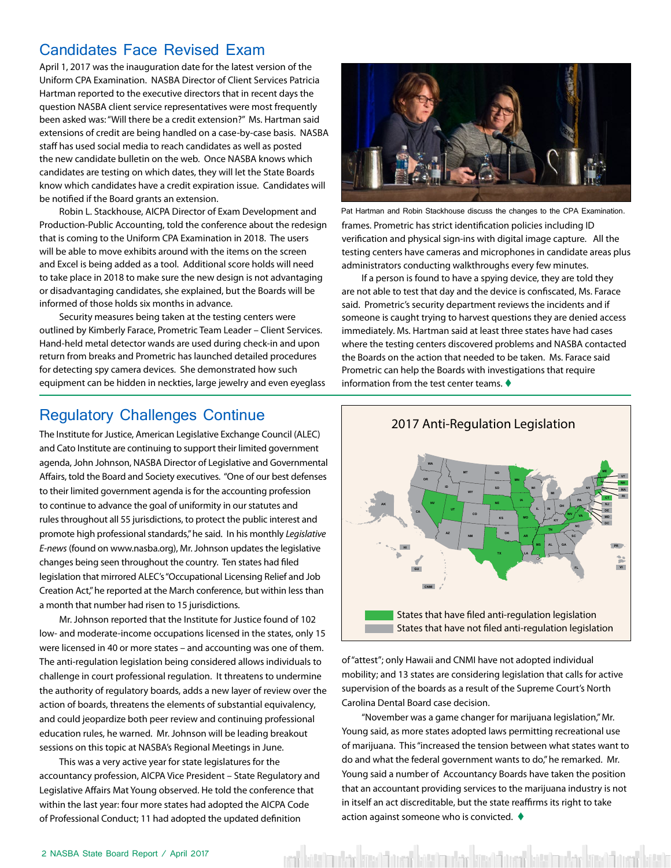## <span id="page-1-0"></span>Candidates Face Revised Exam

April 1, 2017 was the inauguration date for the latest version of the Uniform CPA Examination. NASBA Director of Client Services Patricia Hartman reported to the executive directors that in recent days the question NASBA client service representatives were most frequently been asked was: "Will there be a credit extension?" Ms. Hartman said extensions of credit are being handled on a case-by-case basis. NASBA staff has used social media to reach candidates as well as posted the new candidate bulletin on the web. Once NASBA knows which candidates are testing on which dates, they will let the State Boards know which candidates have a credit expiration issue. Candidates will be notified if the Board grants an extension.

Robin L. Stackhouse, AICPA Director of Exam Development and Production-Public Accounting, told the conference about the redesign that is coming to the Uniform CPA Examination in 2018. The users will be able to move exhibits around with the items on the screen and Excel is being added as a tool. Additional score holds will need to take place in 2018 to make sure the new design is not advantaging or disadvantaging candidates, she explained, but the Boards will be informed of those holds six months in advance.

Security measures being taken at the testing centers were outlined by Kimberly Farace, Prometric Team Leader – Client Services. Hand-held metal detector wands are used during check-in and upon return from breaks and Prometric has launched detailed procedures for detecting spy camera devices. She demonstrated how such equipment can be hidden in neckties, large jewelry and even eyeglass



Pat Hartman and Robin Stackhouse discuss the changes to the CPA Examination.

frames. Prometric has strict identification policies including ID verification and physical sign-ins with digital image capture. All the testing centers have cameras and microphones in candidate areas plus administrators conducting walkthroughs every few minutes.

If a person is found to have a spying device, they are told they are not able to test that day and the device is confiscated, Ms. Farace said. Prometric's security department reviews the incidents and if someone is caught trying to harvest questions they are denied access immediately. Ms. Hartman said at least three states have had cases where the testing centers discovered problems and NASBA contacted the Boards on the action that needed to be taken. Ms. Farace said Prometric can help the Boards with investigations that require information from the test center teams.  $\blacklozenge$ 

### Regulatory Challenges Continue

The Institute for Justice, American Legislative Exchange Council (ALEC) and Cato Institute are continuing to support their limited government agenda, John Johnson, NASBA Director of Legislative and Governmental Affairs, told the Board and Society executives. "One of our best defenses to their limited government agenda is for the accounting profession to continue to advance the goal of uniformity in our statutes and rules throughout all 55 jurisdictions, to protect the public interest and promote high professional standards," he said. In his monthly *Legislative E-news* (found on www.nasba.org), Mr. Johnson updates the legislative changes being seen throughout the country. Ten states had filed legislation that mirrored ALEC's "Occupational Licensing Relief and Job Creation Act," he reported at the March conference, but within less than a month that number had risen to 15 jurisdictions.

Mr. Johnson reported that the Institute for Justice found of 102 low- and moderate-income occupations licensed in the states, only 15 were licensed in 40 or more states – and accounting was one of them. The anti-regulation legislation being considered allows individuals to challenge in court professional regulation. It threatens to undermine the authority of regulatory boards, adds a new layer of review over the action of boards, threatens the elements of substantial equivalency, and could jeopardize both peer review and continuing professional education rules, he warned. Mr. Johnson will be leading breakout sessions on this topic at NASBA's Regional Meetings in June.

This was a very active year for state legislatures for the accountancy profession, AICPA Vice President – State Regulatory and Legislative Affairs Mat Young observed. He told the conference that within the last year: four more states had adopted the AICPA Code of Professional Conduct; 11 had adopted the updated definition



of "attest"; only Hawaii and CNMI have not adopted individual mobility; and 13 states are considering legislation that calls for active supervision of the boards as a result of the Supreme Court's North Carolina Dental Board case decision.

"November was a game changer for marijuana legislation," Mr. Young said, as more states adopted laws permitting recreational use of marijuana. This "increased the tension between what states want to do and what the federal government wants to do," he remarked. Mr. Young said a number of Accountancy Boards have taken the position that an accountant providing services to the marijuana industry is not in itself an act discreditable, but the state reaffirms its right to take action against someone who is convicted.  $\blacklozenge$ 

ta'nı dən közəldi orad bütə'nu dən közəldi orad bütə'ndən közəldi orad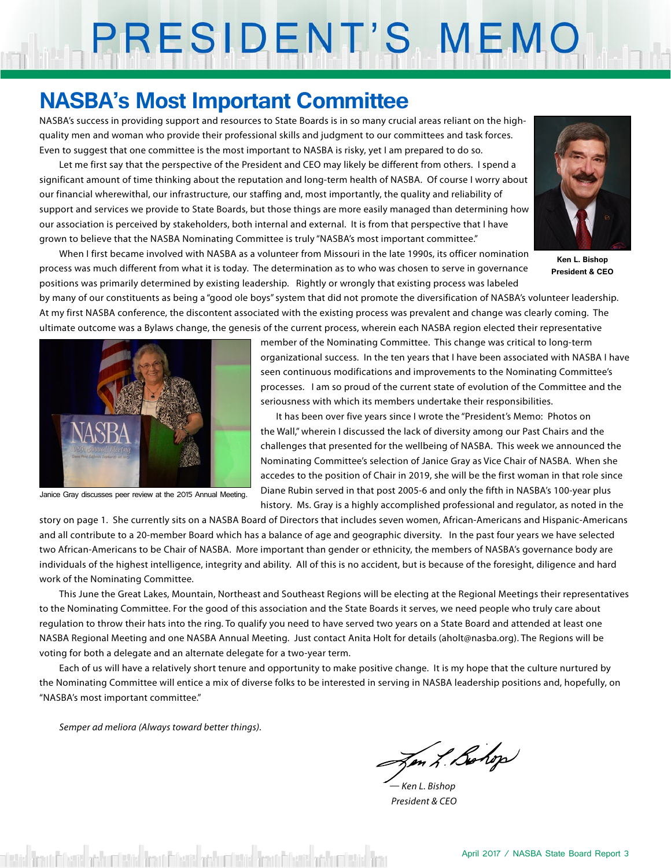# PRESIDENT'S MEMO

## **NASBA's Most Important Committee**

NASBA's success in providing support and resources to State Boards is in so many crucial areas reliant on the highquality men and woman who provide their professional skills and judgment to our committees and task forces. Even to suggest that one committee is the most important to NASBA is risky, yet I am prepared to do so.

Let me first say that the perspective of the President and CEO may likely be different from others. I spend a significant amount of time thinking about the reputation and long-term health of NASBA. Of course I worry about our financial wherewithal, our infrastructure, our staffing and, most importantly, the quality and reliability of support and services we provide to State Boards, but those things are more easily managed than determining how our association is perceived by stakeholders, both internal and external. It is from that perspective that I have grown to believe that the NASBA Nominating Committee is truly "NASBA's most important committee."

When I first became involved with NASBA as a volunteer from Missouri in the late 1990s, its officer nomination process was much different from what it is today. The determination as to who was chosen to serve in governance positions was primarily determined by existing leadership. Rightly or wrongly that existing process was labeled



**Ken L. Bishop President & CEO**

by many of our constituents as being a "good ole boys" system that did not promote the diversification of NASBA's volunteer leadership. At my first NASBA conference, the discontent associated with the existing process was prevalent and change was clearly coming. The ultimate outcome was a Bylaws change, the genesis of the current process, wherein each NASBA region elected their representative



Janice Gray discusses peer review at the 2015 Annual Meeting.

member of the Nominating Committee. This change was critical to long-term organizational success. In the ten years that I have been associated with NASBA I have seen continuous modifications and improvements to the Nominating Committee's processes. I am so proud of the current state of evolution of the Committee and the seriousness with which its members undertake their responsibilities.

It has been over five years since I wrote the "President's Memo: Photos on the Wall," wherein I discussed the lack of diversity among our Past Chairs and the challenges that presented for the wellbeing of NASBA. This week we announced the Nominating Committee's selection of Janice Gray as Vice Chair of NASBA. When she accedes to the position of Chair in 2019, she will be the first woman in that role since Diane Rubin served in that post 2005-6 and only the fifth in NASBA's 100-year plus history. Ms. Gray is a highly accomplished professional and regulator, as noted in the

story on page 1. She currently sits on a NASBA Board of Directors that includes seven women, African-Americans and Hispanic-Americans and all contribute to a 20-member Board which has a balance of age and geographic diversity. In the past four years we have selected two African-Americans to be Chair of NASBA. More important than gender or ethnicity, the members of NASBA's governance body are individuals of the highest intelligence, integrity and ability. All of this is no accident, but is because of the foresight, diligence and hard work of the Nominating Committee.

This June the Great Lakes, Mountain, Northeast and Southeast Regions will be electing at the Regional Meetings their representatives to the Nominating Committee. For the good of this association and the State Boards it serves, we need people who truly care about regulation to throw their hats into the ring. To qualify you need to have served two years on a State Board and attended at least one NASBA Regional Meeting and one NASBA Annual Meeting. Just contact Anita Holt for details (aholt@nasba.org). The Regions will be voting for both a delegate and an alternate delegate for a two-year term.

Each of us will have a relatively short tenure and opportunity to make positive change. It is my hope that the culture nurtured by the Nominating Committee will entice a mix of diverse folks to be interested in serving in NASBA leadership positions and, hopefully, on "NASBA's most important committee."

*Semper ad meliora (Always toward better things).*

Jen L Bohop

*— Ken L. Bishop President & CEO*

detail from Bloods and Cletic from Bloods and cletic from Bloods and Cletic from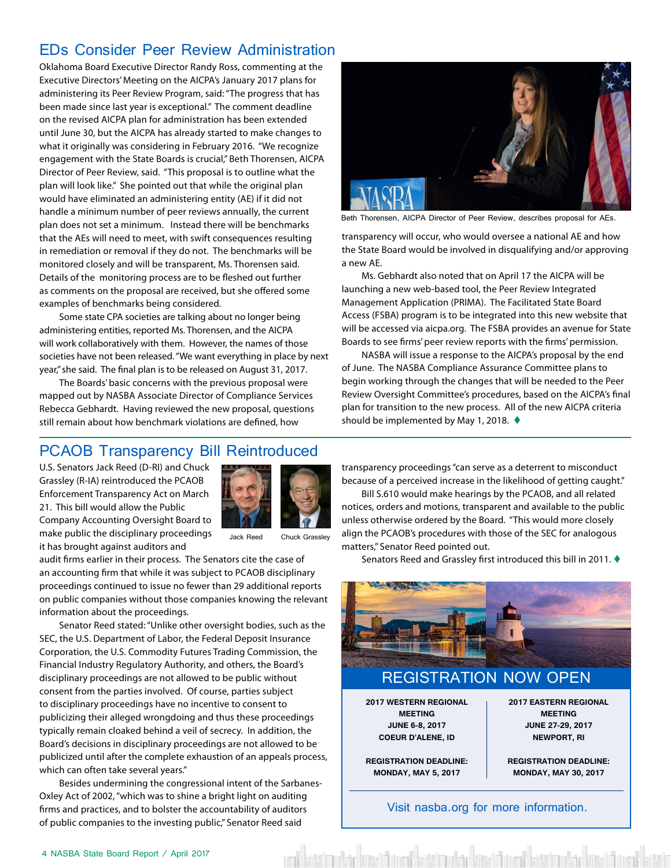## <span id="page-3-0"></span>EDs Consider Peer Review Administration

Oklahoma Board Executive Director Randy Ross, commenting at the Executive Directors' Meeting on the AICPA's January 2017 plans for administering its Peer Review Program, said: "The progress that has been made since last year is exceptional." The comment deadline on the revised AICPA plan for administration has been extended until June 30, but the AICPA has already started to make changes to what it originally was considering in February 2016. "We recognize engagement with the State Boards is crucial," Beth Thorensen, AICPA Director of Peer Review, said. "This proposal is to outline what the plan will look like." She pointed out that while the original plan would have eliminated an administering entity (AE) if it did not handle a minimum number of peer reviews annually, the current plan does not set a minimum. Instead there will be benchmarks that the AEs will need to meet, with swift consequences resulting in remediation or removal if they do not. The benchmarks will be monitored closely and will be transparent, Ms. Thorensen said. Details of the monitoring process are to be fleshed out further as comments on the proposal are received, but she offered some examples of benchmarks being considered.

Some state CPA societies are talking about no longer being administering entities, reported Ms. Thorensen, and the AICPA will work collaboratively with them. However, the names of those societies have not been released. "We want everything in place by next year," she said. The final plan is to be released on August 31, 2017.

The Boards' basic concerns with the previous proposal were mapped out by NASBA Associate Director of Compliance Services Rebecca Gebhardt. Having reviewed the new proposal, questions still remain about how benchmark violations are defined, how



Beth Thorensen, AICPA Director of Peer Review, describes proposal for AEs.

transparency will occur, who would oversee a national AE and how the State Board would be involved in disqualifying and/or approving a new AE.

Ms. Gebhardt also noted that on April 17 the AICPA will be launching a new web-based tool, the Peer Review Integrated Management Application (PRIMA). The Facilitated State Board Access (FSBA) program is to be integrated into this new website that will be accessed via aicpa.org. The FSBA provides an avenue for State Boards to see firms' peer review reports with the firms' permission.

NASBA will issue a response to the AICPA's proposal by the end of June. The NASBA Compliance Assurance Committee plans to begin working through the changes that will be needed to the Peer Review Oversight Committee's procedures, based on the AICPA's final plan for transition to the new process. All of the new AICPA criteria should be implemented by May 1, 2018.  $\blacklozenge$ 

## PCAOB Transparency Bill Reintroduced

U.S. Senators Jack Reed (D-RI) and Chuck Grassley (R-IA) reintroduced the PCAOB Enforcement Transparency Act on March 21. This bill would allow the Public Company Accounting Oversight Board to make public the disciplinary proceedings it has brought against auditors and



Jack Reed Chuck Grassley

audit firms earlier in their process. The Senators cite the case of an accounting firm that while it was subject to PCAOB disciplinary proceedings continued to issue no fewer than 29 additional reports on public companies without those companies knowing the relevant information about the proceedings.

Senator Reed stated: "Unlike other oversight bodies, such as the SEC, the U.S. Department of Labor, the Federal Deposit Insurance Corporation, the U.S. Commodity Futures Trading Commission, the Financial Industry Regulatory Authority, and others, the Board's disciplinary proceedings are not allowed to be public without consent from the parties involved. Of course, parties subject to disciplinary proceedings have no incentive to consent to publicizing their alleged wrongdoing and thus these proceedings typically remain cloaked behind a veil of secrecy. In addition, the Board's decisions in disciplinary proceedings are not allowed to be publicized until after the complete exhaustion of an appeals process, which can often take several years."

Besides undermining the congressional intent of the Sarbanes-Oxley Act of 2002, "which was to shine a bright light on auditing firms and practices, and to bolster the accountability of auditors of public companies to the investing public," Senator Reed said

transparency proceedings "can serve as a deterrent to misconduct because of a perceived increase in the likelihood of getting caught."

Bill S.610 would make hearings by the PCAOB, and all related notices, orders and motions, transparent and available to the public unless otherwise ordered by the Board. "This would more closely align the PCAOB's procedures with those of the SEC for analogous matters," Senator Reed pointed out.

Senators Reed and Grassley first introduced this bill in 2011.  $\blacklozenge$ 



Visit nasba.org for more information.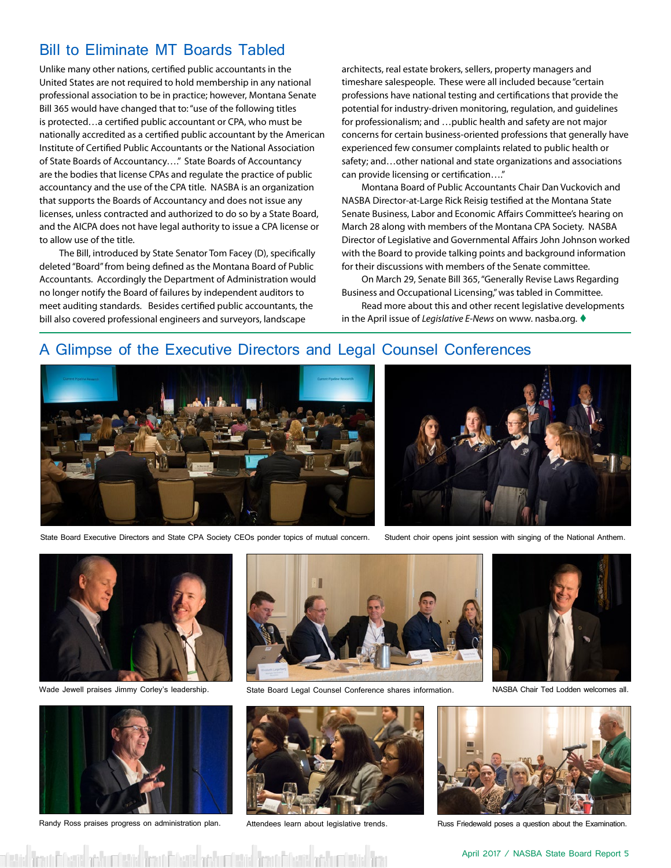## <span id="page-4-0"></span>Bill to Eliminate MT Boards Tabled

Unlike many other nations, certified public accountants in the United States are not required to hold membership in any national professional association to be in practice; however, Montana Senate Bill 365 would have changed that to: "use of the following titles is protected…a certified public accountant or CPA, who must be nationally accredited as a certified public accountant by the American Institute of Certified Public Accountants or the National Association of State Boards of Accountancy…." State Boards of Accountancy are the bodies that license CPAs and regulate the practice of public accountancy and the use of the CPA title. NASBA is an organization that supports the Boards of Accountancy and does not issue any licenses, unless contracted and authorized to do so by a State Board, and the AICPA does not have legal authority to issue a CPA license or to allow use of the title.

The Bill, introduced by State Senator Tom Facey (D), specifically deleted "Board" from being defined as the Montana Board of Public Accountants. Accordingly the Department of Administration would no longer notify the Board of failures by independent auditors to meet auditing standards. Besides certified public accountants, the bill also covered professional engineers and surveyors, landscape

architects, real estate brokers, sellers, property managers and timeshare salespeople. These were all included because "certain professions have national testing and certifications that provide the potential for industry-driven monitoring, regulation, and guidelines for professionalism; and …public health and safety are not major concerns for certain business-oriented professions that generally have experienced few consumer complaints related to public health or safety; and…other national and state organizations and associations can provide licensing or certification…."

Montana Board of Public Accountants Chair Dan Vuckovich and NASBA Director-at-Large Rick Reisig testified at the Montana State Senate Business, Labor and Economic Affairs Committee's hearing on March 28 along with members of the Montana CPA Society. NASBA Director of Legislative and Governmental Affairs John Johnson worked with the Board to provide talking points and background information for their discussions with members of the Senate committee.

On March 29, Senate Bill 365, "Generally Revise Laws Regarding Business and Occupational Licensing," was tabled in Committee.

Read more about this and other recent legislative developments in the April issue of *Legislative E-News* on www. nasba.org. t

#### A Glimpse of the Executive Directors and Legal Counsel Conferences



State Board Executive Directors and State CPA Society CEOs ponder topics of mutual concern. Student choir opens joint session with singing of the National Anthem.







Randy Ross praises progress on administration plan. Attendees learn about legislative trends. Russ Friedewald poses a question about the Examination.



Wade Jewell praises Jimmy Corley's leadership. State Board Legal Counsel Conference shares information. NASBA Chair Ted Lodden welcomes all.